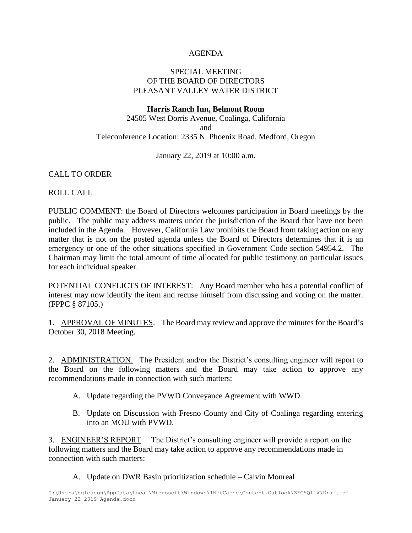# AGENDA

# SPECIAL MEETING OF THE BOARD OF DIRECTORS PLEASANT VALLEY WATER DISTRICT

#### **Harris Ranch Inn, Belmont Room**

24505 West Dorris Avenue, Coalinga, California and Teleconference Location: 2335 N. Phoenix Road, Medford, Oregon

January 22, 2019 at 10:00 a.m.

### CALL TO ORDER

ROLL CALL

PUBLIC COMMENT: the Board of Directors welcomes participation in Board meetings by the public. The public may address matters under the jurisdiction of the Board that have not been included in the Agenda. However, California Law prohibits the Board from taking action on any matter that is not on the posted agenda unless the Board of Directors determines that it is an emergency or one of the other situations specified in Government Code section 54954.2. The Chairman may limit the total amount of time allocated for public testimony on particular issues for each individual speaker.

POTENTIAL CONFLICTS OF INTEREST: Any Board member who has a potential conflict of interest may now identify the item and recuse himself from discussing and voting on the matter. (FPPC § 87105.)

1. APPROVAL OF MINUTES. The Board may review and approve the minutes for the Board's October 30, 2018 Meeting.

2. ADMINISTRATION. The President and/or the District's consulting engineer will report to the Board on the following matters and the Board may take action to approve any recommendations made in connection with such matters:

- A. Update regarding the PVWD Conveyance Agreement with WWD.
- B. Update on Discussion with Fresno County and City of Coalinga regarding entering into an MOU with PVWD.

3. ENGINEER'S REPORT The District's consulting engineer will provide a report on the following matters and the Board may take action to approve any recommendations made in connection with such matters:

A. Update on DWR Basin prioritization schedule – Calvin Monreal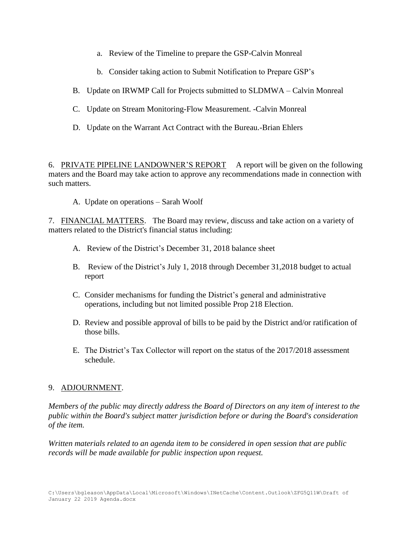- a. Review of the Timeline to prepare the GSP-Calvin Monreal
- b. Consider taking action to Submit Notification to Prepare GSP's
- B. Update on IRWMP Call for Projects submitted to SLDMWA Calvin Monreal
- C. Update on Stream Monitoring-Flow Measurement. -Calvin Monreal
- D. Update on the Warrant Act Contract with the Bureau.-Brian Ehlers

6. PRIVATE PIPELINE LANDOWNER'S REPORT A report will be given on the following maters and the Board may take action to approve any recommendations made in connection with such matters.

A. Update on operations – Sarah Woolf

7. FINANCIAL MATTERS. The Board may review, discuss and take action on a variety of matters related to the District's financial status including:

- A. Review of the District's December 31, 2018 balance sheet
- B. Review of the District's July 1, 2018 through December 31,2018 budget to actual report
- C. Consider mechanisms for funding the District's general and administrative operations, including but not limited possible Prop 218 Election.
- D. Review and possible approval of bills to be paid by the District and/or ratification of those bills.
- E. The District's Tax Collector will report on the status of the 2017/2018 assessment schedule.

# 9. ADJOURNMENT.

*Members of the public may directly address the Board of Directors on any item of interest to the public within the Board's subject matter jurisdiction before or during the Board's consideration of the item.*

*Written materials related to an agenda item to be considered in open session that are public records will be made available for public inspection upon request.*